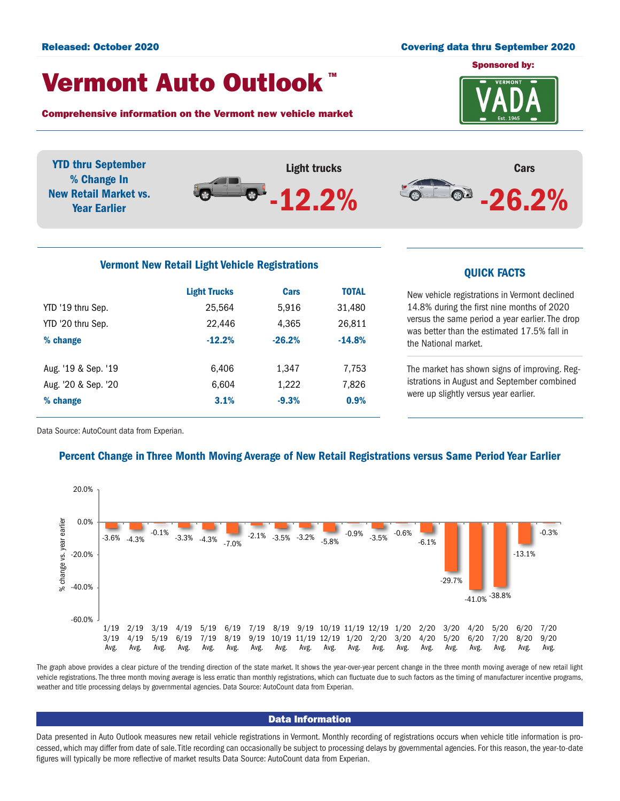#### Released: October 2020 Covering data thru September 2020

## Vermont Auto Outlook TM

Comprehensive information on the Vermont new vehicle market



YTD thru September Light trucks Cars % Change In  $-26.2%$  $\bullet$ New Retail Market vs. -12.2% Year Earlier

# Vermont New Retail Light Vehicle Registrations<br>
QUICK FACTS

|                     | <b>Light Trucks</b> | Cars     | <b>TOTAL</b> |
|---------------------|---------------------|----------|--------------|
| YTD '19 thru Sep.   | 25.564              | 5,916    | 31,480       |
| YTD '20 thru Sep.   | 22.446              | 4,365    | 26,811       |
| % change            | $-12.2%$            | $-26.2%$ | $-14.8%$     |
| Aug. '19 & Sep. '19 | 6.406               | 1,347    | 7,753        |
| Aug. '20 & Sep. '20 | 6,604               | 1,222    | 7,826        |
| % change            | 3.1%                | $-9.3%$  | 0.9%         |

New vehicle registrations in Vermont declined 14.8% during the first nine months of 2020 versus the same period a year earlier. The drop was better than the estimated 17.5% fall in the National market.

The market has shown signs of improving. Registrations in August and September combined were up slightly versus year earlier.

Data Source: AutoCount data from Experian.

### Percent Change in Three Month Moving Average of New Retail Registrations versus Same Period Year Earlier



The graph above provides a clear picture of the trending direction of the state market. It shows the year-over-year percent change in the three month moving average of new retail light vehicle registrations. The three month moving average is less erratic than monthly registrations, which can fluctuate due to such factors as the timing of manufacturer incentive programs, weather and title processing delays by governmental agencies. Data Source: AutoCount data from Experian.

#### Data Information

Data presented in Auto Outlook measures new retail vehicle registrations in Vermont. Monthly recording of registrations occurs when vehicle title information is processed, which may differ from date of sale. Title recording can occasionally be subject to processing delays by governmental agencies. For this reason, the year-to-date figures will typically be more reflective of market results Data Source: AutoCount data from Experian.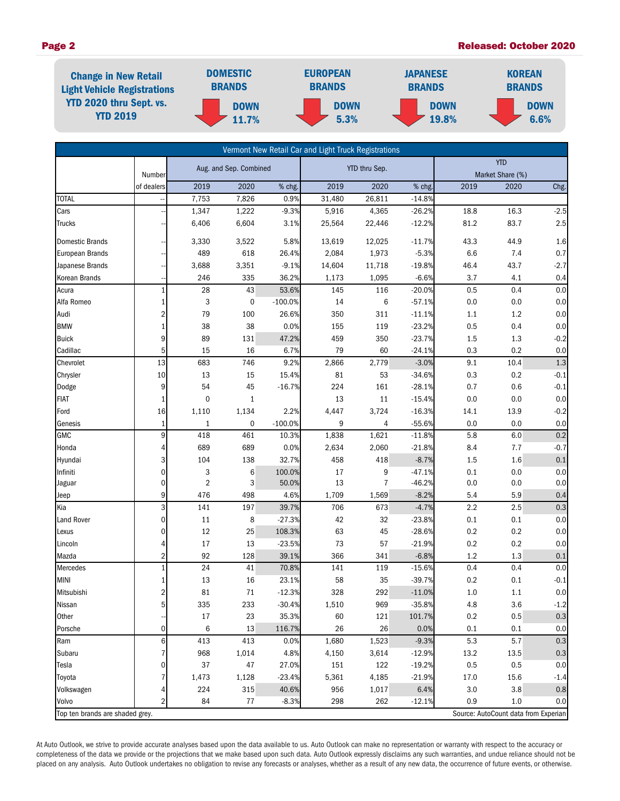#### Page 2 Released: October 2020



|                                 |                 |                         |              |               | Vermont New Retail Car and Light Truck Registrations |                                |          |      |                                      |         |
|---------------------------------|-----------------|-------------------------|--------------|---------------|------------------------------------------------------|--------------------------------|----------|------|--------------------------------------|---------|
|                                 | Number          | Aug. and Sep. Combined  |              | YTD thru Sep. |                                                      | <b>YTD</b><br>Market Share (%) |          |      |                                      |         |
|                                 | of dealers      | 2019                    | 2020         | % chg.        | 2019                                                 | 2020                           | % chg.   | 2019 | 2020                                 | Chg.    |
| <b>TOTAL</b>                    |                 | 7,753                   | 7,826        | 0.9%          | 31,480                                               | 26,811                         | $-14.8%$ |      |                                      |         |
| Cars                            |                 | 1,347                   | 1,222        | $-9.3%$       | 5,916                                                | 4,365                          | $-26.2%$ | 18.8 | 16.3                                 | $-2.5$  |
| Trucks                          |                 | 6,406                   | 6,604        | 3.1%          | 25,564                                               | 22,446                         | $-12.2%$ | 81.2 | 83.7                                 | 2.5     |
| Domestic Brands                 |                 | 3,330                   | 3,522        | 5.8%          | 13,619                                               | 12,025                         | $-11.7%$ | 43.3 | 44.9                                 | 1.6     |
| European Brands                 |                 | 489                     | 618          | 26.4%         | 2,084                                                | 1,973                          | $-5.3%$  | 6.6  | 7.4                                  | 0.7     |
| Japanese Brands                 |                 | 3,688                   | 3,351        | $-9.1%$       | 14,604                                               | 11,718                         | $-19.8%$ | 46.4 | 43.7                                 | $-2.7$  |
| Korean Brands                   |                 | 246                     | 335          | 36.2%         | 1,173                                                | 1,095                          | $-6.6%$  | 3.7  | 4.1                                  | 0.4     |
| Acura                           | $\mathbf{1}$    | 28                      | 43           | 53.6%         | 145                                                  | 116                            | $-20.0%$ | 0.5  | 0.4                                  | 0.0     |
| Alfa Romeo                      | $\mathbf{1}$    | 3                       | 0            | $-100.0%$     | 14                                                   | 6                              | $-57.1%$ | 0.0  | 0.0                                  | 0.0     |
| Audi                            | 2               | 79                      | 100          | 26.6%         | 350                                                  | 311                            | $-11.1%$ | 1.1  | 1.2                                  | 0.0     |
| <b>BMW</b>                      | $1\overline{ }$ | 38                      | 38           | 0.0%          | 155                                                  | 119                            | $-23.2%$ | 0.5  | 0.4                                  | 0.0     |
| <b>Buick</b>                    | 9               | 89                      | 131          | 47.2%         | 459                                                  | 350                            | $-23.7%$ | 1.5  | 1.3                                  | $-0.2$  |
| Cadillac                        | $5\overline{)}$ | 15                      | 16           | 6.7%          | 79                                                   | 60                             | $-24.1%$ | 0.3  | 0.2                                  | 0.0     |
| Chevrolet                       | 13              | 683                     | 746          | 9.2%          | 2,866                                                | 2,779                          | $-3.0%$  | 9.1  | 10.4                                 | 1.3     |
| Chrysler                        | 10              | 13                      | 15           | 15.4%         | 81                                                   | 53                             | $-34.6%$ | 0.3  | 0.2                                  | $-0.1$  |
| Dodge                           | 9               | 54                      | 45           | $-16.7%$      | 224                                                  | 161                            | $-28.1%$ | 0.7  | 0.6                                  | $-0.1$  |
| <b>FIAT</b>                     | 1               | $\pmb{0}$               | $\mathbf{1}$ |               | 13                                                   | 11                             | $-15.4%$ | 0.0  | 0.0                                  | 0.0     |
| Ford                            | 16              | 1,110                   | 1,134        | 2.2%          | 4,447                                                | 3,724                          | $-16.3%$ | 14.1 | 13.9                                 | $-0.2$  |
| Genesis                         | $\mathbf{1}$    | $\mathbf{1}$            | 0            | $-100.0%$     | 9                                                    | 4                              | $-55.6%$ | 0.0  | 0.0                                  | 0.0     |
| GMC                             | 9               | 418                     | 461          | 10.3%         | 1,838                                                | 1,621                          | $-11.8%$ | 5.8  | 6.0                                  | 0.2     |
| Honda                           | 4               | 689                     | 689          | 0.0%          | 2,634                                                | 2,060                          | $-21.8%$ | 8.4  | 7.7                                  | $-0.7$  |
| Hyundai                         | 3               | 104                     | 138          | 32.7%         | 458                                                  | 418                            | $-8.7%$  | 1.5  | 1.6                                  | 0.1     |
| Infiniti                        | $\mathbf 0$     | 3                       | 6            | 100.0%        | 17                                                   | 9                              | $-47.1%$ | 0.1  | 0.0                                  | 0.0     |
| Jaguar                          | $\mathbf 0$     | $\overline{\mathbf{c}}$ | 3            | 50.0%         | 13                                                   | 7                              | $-46.2%$ | 0.0  | 0.0                                  | $0.0\,$ |
| Jeep                            | 9               | 476                     | 498          | 4.6%          | 1,709                                                | 1,569                          | $-8.2%$  | 5.4  | 5.9                                  | 0.4     |
| Kia                             | 3               | 141                     | 197          | 39.7%         | 706                                                  | 673                            | $-4.7%$  | 2.2  | 2.5                                  | 0.3     |
| Land Rover                      | $\mathbf 0$     | 11                      | 8            | $-27.3%$      | 42                                                   | 32                             | $-23.8%$ | 0.1  | 0.1                                  | $0.0\,$ |
| Lexus                           | $\mathbf 0$     | 12                      | 25           | 108.3%        | 63                                                   | 45                             | $-28.6%$ | 0.2  | 0.2                                  | $0.0\,$ |
| Lincoln                         | 4               | 17                      | 13           | $-23.5%$      | 73                                                   | 57                             | $-21.9%$ | 0.2  | 0.2                                  | 0.0     |
| Mazda                           | $\overline{2}$  | 92                      | 128          | 39.1%         | 366                                                  | 341                            | $-6.8%$  | 1.2  | 1.3                                  | 0.1     |
| Mercedes                        | $\mathbf{1}$    | 24                      | 41           | 70.8%         | 141                                                  | 119                            | $-15.6%$ | 0.4  | 0.4                                  | 0.0     |
| <b>MINI</b>                     | $\mathbf{1}$    | 13                      | 16           | 23.1%         | 58                                                   | 35                             | $-39.7%$ | 0.2  | 0.1                                  | $-0.1$  |
| Mitsubishi                      | $\overline{a}$  | 81                      | 71           | $-12.3%$      | 328                                                  | 292                            | $-11.0%$ | 1.0  | 1.1                                  | $0.0\,$ |
| Nissan                          | 5               | 335                     | 233          | $-30.4%$      | 1,510                                                | 969                            | $-35.8%$ | 4.8  | 3.6                                  | $-1.2$  |
| Other                           |                 | $17\,$                  | 23           | 35.3%         | 60                                                   | 121                            | 101.7%   | 0.2  | 0.5                                  | $0.3\,$ |
| Porsche                         | $\mathbf 0$     | 6                       | 13           | 116.7%        | 26                                                   | 26                             | 0.0%     | 0.1  | 0.1                                  | 0.0     |
| Ram                             | 6               | 413                     | 413          | 0.0%          | 1,680                                                | 1,523                          | $-9.3%$  | 5.3  | 5.7                                  | 0.3     |
| Subaru                          | 7               | 968                     | 1,014        | 4.8%          | 4,150                                                | 3,614                          | $-12.9%$ | 13.2 | 13.5                                 | 0.3     |
| Tesla                           | 0               | 37                      | $47\,$       | 27.0%         | 151                                                  | 122                            | $-19.2%$ | 0.5  | 0.5                                  | $0.0\,$ |
| Toyota                          | 7               | 1,473                   | 1,128        | $-23.4%$      | 5,361                                                | 4,185                          | $-21.9%$ | 17.0 | 15.6                                 | $-1.4$  |
| Volkswagen                      | 4               | 224                     | 315          | 40.6%         | 956                                                  | 1,017                          | 6.4%     | 3.0  | 3.8                                  | 0.8     |
| Volvo                           | $\overline{2}$  | 84                      | 77           | $-8.3%$       | 298                                                  | 262                            | $-12.1%$ | 0.9  | 1.0                                  | 0.0     |
| Top ten brands are shaded grey. |                 |                         |              |               |                                                      |                                |          |      | Source: AutoCount data from Experian |         |

At Auto Outlook, we strive to provide accurate analyses based upon the data available to us. Auto Outlook can make no representation or warranty with respect to the accuracy or completeness of the data we provide or the projections that we make based upon such data. Auto Outlook expressly disclaims any such warranties, and undue reliance should not be placed on any analysis. Auto Outlook undertakes no obligation to revise any forecasts or analyses, whether as a result of any new data, the occurrence of future events, or otherwise.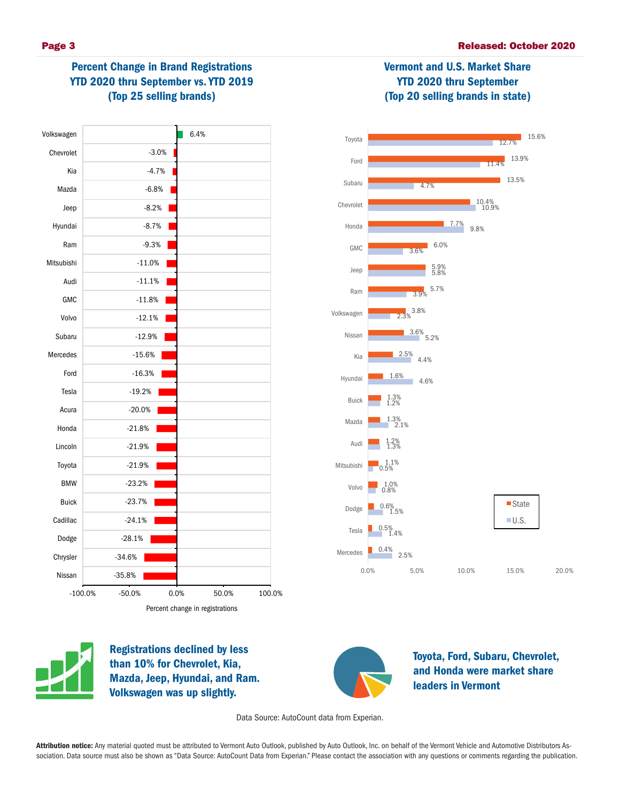Vermont and U.S. Market Share YTD 2020 thru September (Top 20 selling brands in state)

# Percent Change in Brand Registrations YTD 2020 thru September vs. YTD 2019 (Top 25 selling brands)







Registrations declined by less than 10% for Chevrolet, Kia, Mazda, Jeep, Hyundai, and Ram. Volkswagen was up slightly.



Toyota, Ford, Subaru, Chevrolet, and Honda were market share leaders in Vermont

Data Source: AutoCount data from Experian.

Attribution notice: Any material quoted must be attributed to Vermont Auto Outlook, published by Auto Outlook, Inc. on behalf of the Vermont Vehicle and Automotive Distributors Association. Data source must also be shown as "Data Source: AutoCount Data from Experian." Please contact the association with any questions or comments regarding the publication.